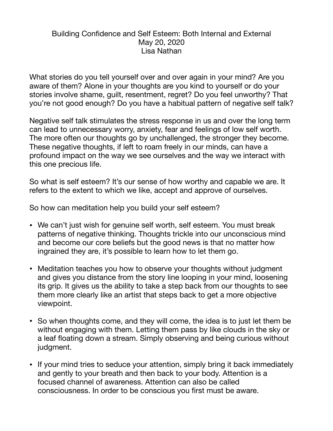## Building Confidence and Self Esteem: Both Internal and External May 20, 2020 Lisa Nathan

What stories do you tell yourself over and over again in your mind? Are you aware of them? Alone in your thoughts are you kind to yourself or do your stories involve shame, guilt, resentment, regret? Do you feel unworthy? That you're not good enough? Do you have a habitual pattern of negative self talk?

Negative self talk stimulates the stress response in us and over the long term can lead to unnecessary worry, anxiety, fear and feelings of low self worth. The more often our thoughts go by unchallenged, the stronger they become. These negative thoughts, if left to roam freely in our minds, can have a profound impact on the way we see ourselves and the way we interact with this one precious life.

So what is self esteem? It's our sense of how worthy and capable we are. It refers to the extent to which we like, accept and approve of ourselves.

So how can meditation help you build your self esteem?

- We can't just wish for genuine self worth, self esteem. You must break patterns of negative thinking. Thoughts trickle into our unconscious mind and become our core beliefs but the good news is that no matter how ingrained they are, it's possible to learn how to let them go.
- Meditation teaches you how to observe your thoughts without judgment and gives you distance from the story line looping in your mind, loosening its grip. It gives us the ability to take a step back from our thoughts to see them more clearly like an artist that steps back to get a more objective viewpoint.
- So when thoughts come, and they will come, the idea is to just let them be without engaging with them. Letting them pass by like clouds in the sky or a leaf floating down a stream. Simply observing and being curious without judgment.
- If your mind tries to seduce your attention, simply bring it back immediately and gently to your breath and then back to your body. Attention is a focused channel of awareness. Attention can also be called consciousness. In order to be conscious you first must be aware.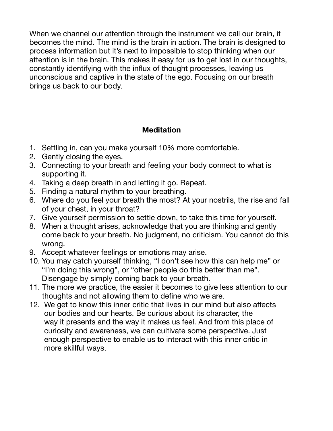When we channel our attention through the instrument we call our brain, it becomes the mind. The mind is the brain in action. The brain is designed to process information but it's next to impossible to stop thinking when our attention is in the brain. This makes it easy for us to get lost in our thoughts, constantly identifying with the influx of thought processes, leaving us unconscious and captive in the state of the ego. Focusing on our breath brings us back to our body.

## **Meditation**

- 1. Settling in, can you make yourself 10% more comfortable.
- 2. Gently closing the eyes.
- 3. Connecting to your breath and feeling your body connect to what is supporting it.
- 4. Taking a deep breath in and letting it go. Repeat.
- 5. Finding a natural rhythm to your breathing.
- 6. Where do you feel your breath the most? At your nostrils, the rise and fall of your chest, in your throat?
- 7. Give yourself permission to settle down, to take this time for yourself.
- 8. When a thought arises, acknowledge that you are thinking and gently come back to your breath. No judgment, no criticism. You cannot do this wrong.
- 9. Accept whatever feelings or emotions may arise.
- 10. You may catch yourself thinking, "I don't see how this can help me" or "I'm doing this wrong", or "other people do this better than me". Disengage by simply coming back to your breath.
- 11. The more we practice, the easier it becomes to give less attention to our thoughts and not allowing them to define who we are.
- 12. We get to know this inner critic that lives in our mind but also affects our bodies and our hearts. Be curious about its character, the way it presents and the way it makes us feel. And from this place of curiosity and awareness, we can cultivate some perspective. Just enough perspective to enable us to interact with this inner critic in more skillful ways.